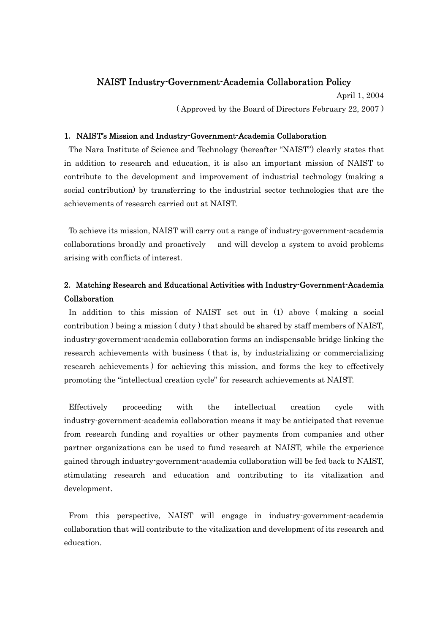## NAIST Industry-Government-Academia Collaboration Policy

April 1, 2004 ( Approved by the Board of Directors February 22, 2007 )

## 1. NAIST's Mission and Industry-Government-Academia Collaboration

 The Nara Institute of Science and Technology (hereafter "NAIST") clearly states that in addition to research and education, it is also an important mission of NAIST to contribute to the development and improvement of industrial technology (making a social contribution) by transferring to the industrial sector technologies that are the achievements of research carried out at NAIST.

 To achieve its mission, NAIST will carry out a range of industry-government-academia collaborations broadly and proactively and will develop a system to avoid problems arising with conflicts of interest.

# 2.Matching Research and Educational Activities with Industry-Government-Academia Collaboration

 In addition to this mission of NAIST set out in (1) above ( making a social contribution ) being a mission ( duty ) that should be shared by staff members of NAIST, industry-government-academia collaboration forms an indispensable bridge linking the research achievements with business ( that is, by industrializing or commercializing research achievements ) for achieving this mission, and forms the key to effectively promoting the "intellectual creation cycle" for research achievements at NAIST.

 Effectively proceeding with the intellectual creation cycle with industry-government-academia collaboration means it may be anticipated that revenue from research funding and royalties or other payments from companies and other partner organizations can be used to fund research at NAIST, while the experience gained through industry-government-academia collaboration will be fed back to NAIST, stimulating research and education and contributing to its vitalization and development.

 From this perspective, NAIST will engage in industry-government-academia collaboration that will contribute to the vitalization and development of its research and education.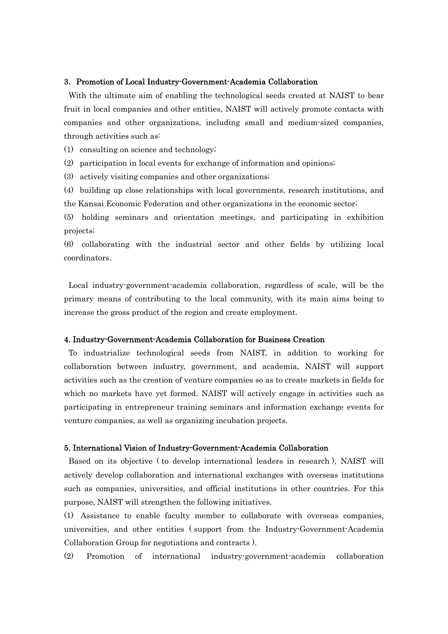#### 3. Promotion of Local Industry-Government-Academia Collaboration

 With the ultimate aim of enabling the technological seeds created at NAIST to bear fruit in local companies and other entities, NAIST will actively promote contacts with companies and other organizations, including small and medium-sized companies, through activities such as:

(1) consulting on science and technology;

(2) participation in local events for exchange of information and opinions;

(3) actively visiting companies and other organizations;

(4) building up close relationships with local governments, research institutions, and the Kansai Economic Federation and other organizations in the economic sector;

(5) holding seminars and orientation meetings, and participating in exhibition projects;

(6) collaborating with the industrial sector and other fields by utilizing local coordinators.

 Local industry-government-academia collaboration, regardless of scale, will be the primary means of contributing to the local community, with its main aims being to increase the gross product of the region and create employment.

## 4. Industry-Government-Academia Collaboration for Business Creation

 To industrialize technological seeds from NAIST, in addition to working for collaboration between industry, government, and academia, NAIST will support activities such as the creation of venture companies so as to create markets in fields for which no markets have yet formed. NAIST will actively engage in activities such as participating in entrepreneur training seminars and information exchange events for venture companies, as well as organizing incubation projects.

### 5. International Vision of Industry-Government-Academia Collaboration

 Based on its objective ( to develop international leaders in research ), NAIST will actively develop collaboration and international exchanges with overseas institutions such as companies, universities, and official institutions in other countries. For this purpose, NAIST will strengthen the following initiatives.

(1) Assistance to enable faculty member to collaborate with overseas companies, universities, and other entities ( support from the Industry-Government-Academia Collaboration Group for negotiations and contracts ).

(2) Promotion of international industry-government-academia collaboration